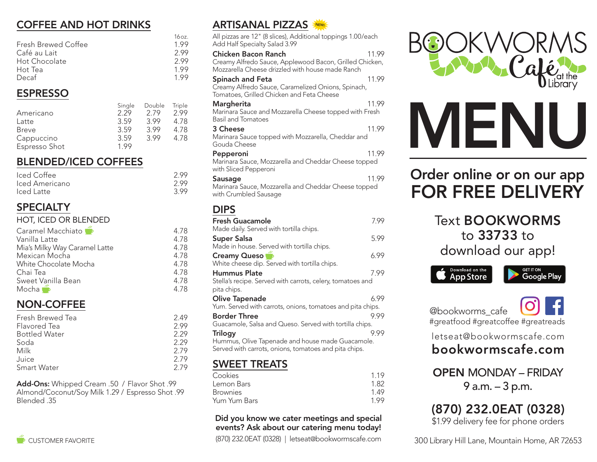## COFFEE AND HOT DRINKS

|                            | 16 oz. |
|----------------------------|--------|
| <b>Fresh Brewed Coffee</b> | 199    |
| Café au Lait               | 299    |
| Hot Chocolate              | 299    |
| Hot Tea                    | 199    |
| Decaf                      | 199    |

## ESPRESSO

|               | Single | Double | Triple |
|---------------|--------|--------|--------|
| Americano     | 2.29   | 279    | 2.99   |
| Latte         | 3.59   | 399    | 4.78   |
| Breve         | 3.59   | 3.99   | 4.78   |
| Cappuccino    | 3.59   | 399    | 4.78   |
| Espresso Shot | 199    |        |        |

## BLENDED/ICED COFFEES

| Iced Coffee    | 2.99 |
|----------------|------|
| Iced Americano | 2.99 |
| Iced Latte     | 3.99 |

## **SPECIALTY**

HOT, ICED OR BLENDED

| Caramel Macchiato             | 4.78 |
|-------------------------------|------|
| Vanilla Latte                 | 4.78 |
| Mia's Milky Way Caramel Latte | 4.78 |
| Mexican Mocha                 | 4.78 |
| White Chocolate Mocha         | 4.78 |
| Chai Tea                      | 4.78 |
| Sweet Vanilla Bean            | 4.78 |
| Mocha <b>B</b>                | 4.78 |
|                               |      |

## NON-COFFEE

| Fresh Brewed Tea     | 2.49 |
|----------------------|------|
| Flavored Tea         | 2.99 |
| <b>Bottled Water</b> | 2.29 |
| Soda                 | 2.29 |
| Milk                 | 2.79 |
| Juice                | 2.79 |
| <b>Smart Water</b>   | 279  |
|                      |      |

Add-Ons: Whipped Cream .50 / Flavor Shot .99 Almond/Coconut/Soy Milk 1.29 / Espresso Shot .99 Blended .35



| 1111961165116667<br><b>2.45</b><br>All pizzas are 12" (8 slices), Additional toppings 1.00/each<br>Add Half Specialty Salad 3.99   |       |
|------------------------------------------------------------------------------------------------------------------------------------|-------|
| Chicken Bacon Ranch<br>Creamy Alfredo Sauce, Applewood Bacon, Grilled Chicken,<br>Mozzarella Cheese drizzled with house made Ranch | 11.99 |
| Spinach and Feta<br>Creamy Alfredo Sauce, Caramelized Onions, Spinach,<br>Tomatoes, Grilled Chicken and Feta Cheese                | 11.99 |
| Margherita<br>Marinara Sauce and Mozzarella Cheese topped with Fresh<br>Basil and Tomatoes                                         | 11.99 |
| 3 Cheese<br>Marinara Sauce topped with Mozzarella, Cheddar and<br>Gouda Cheese                                                     | 11.99 |
| Pepperoni<br>Marinara Sauce, Mozzarella and Cheddar Cheese topped<br>with Sliced Pepperoni                                         | 11.99 |
| Sausage<br>Marinara Sauce, Mozzarella and Cheddar Cheese topped<br>with Crumbled Sausage                                           | 11.99 |
| <b>DIPS</b>                                                                                                                        |       |
| <b>Fresh Guacamole</b><br>Made daily. Served with tortilla chips.                                                                  | 7.99  |
| <b>Super Salsa</b><br>Made in house. Served with tortilla chips.                                                                   | 5.99  |
| Creamy Queso<br>White cheese dip. Served with tortilla chips.                                                                      | 6.99  |
| <b>Hummus Plate</b><br>Stella's recipe. Served with carrots, celery, tomatoes and<br>pita chips.                                   | 7.99  |
| <b>Olive Tapenade</b><br>Yum. Served with carrots, onions, tomatoes and pita chips.                                                | 6.99  |
| <b>Border Three</b><br>Guacamole, Salsa and Queso. Served with tortilla chips.                                                     | 9.99  |
| <b>Trilogy</b><br>Hummus, Olive Tapenade and house made Guacamole.<br>Served with carrots, onions, tomatoes and pita chips.        | 9.99  |
| <b>SWEET TREATS</b>                                                                                                                |       |
|                                                                                                                                    |       |

| Cookies         | 119  |
|-----------------|------|
| Lemon Bars      | 1.82 |
| <b>Brownies</b> | 149  |
| Yum Yum Bars    | 199  |

#### Did you know we cater meetings and special events? Ask about our catering menu today!

CUSTOMER FAVORITE (870) 232.0EAT (0328) | letseat@bookwormscafe.com





# Order online or on our app FOR FREE DELIVERY

Text BOOKWORMS to 33733 to download our app!



 @bookworms\_cafe #greatfood #greatcoffee #greatreads

letseat@bookwormscafe.com

## bookwormscafe.com

OPEN MONDAY – FRIDAY 9 a.m. – 3 p.m.

# (870) 232.0EAT (0328)

\$1.99 delivery fee for phone orders

300 Library Hill Lane, Mountain Home, AR 72653